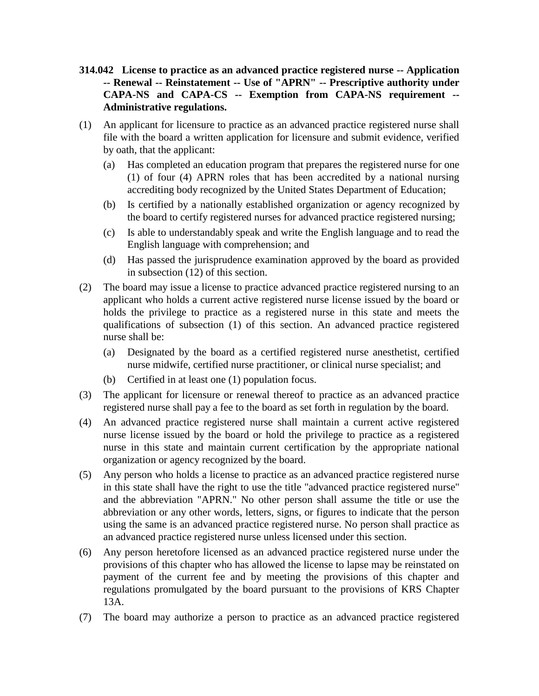- **314.042 License to practice as an advanced practice registered nurse -- Application -- Renewal -- Reinstatement -- Use of "APRN" -- Prescriptive authority under CAPA-NS and CAPA-CS -- Exemption from CAPA-NS requirement -- Administrative regulations.**
- (1) An applicant for licensure to practice as an advanced practice registered nurse shall file with the board a written application for licensure and submit evidence, verified by oath, that the applicant:
	- (a) Has completed an education program that prepares the registered nurse for one (1) of four (4) APRN roles that has been accredited by a national nursing accrediting body recognized by the United States Department of Education;
	- (b) Is certified by a nationally established organization or agency recognized by the board to certify registered nurses for advanced practice registered nursing;
	- (c) Is able to understandably speak and write the English language and to read the English language with comprehension; and
	- (d) Has passed the jurisprudence examination approved by the board as provided in subsection (12) of this section.
- (2) The board may issue a license to practice advanced practice registered nursing to an applicant who holds a current active registered nurse license issued by the board or holds the privilege to practice as a registered nurse in this state and meets the qualifications of subsection (1) of this section. An advanced practice registered nurse shall be:
	- (a) Designated by the board as a certified registered nurse anesthetist, certified nurse midwife, certified nurse practitioner, or clinical nurse specialist; and
	- (b) Certified in at least one (1) population focus.
- (3) The applicant for licensure or renewal thereof to practice as an advanced practice registered nurse shall pay a fee to the board as set forth in regulation by the board.
- (4) An advanced practice registered nurse shall maintain a current active registered nurse license issued by the board or hold the privilege to practice as a registered nurse in this state and maintain current certification by the appropriate national organization or agency recognized by the board.
- (5) Any person who holds a license to practice as an advanced practice registered nurse in this state shall have the right to use the title "advanced practice registered nurse" and the abbreviation "APRN." No other person shall assume the title or use the abbreviation or any other words, letters, signs, or figures to indicate that the person using the same is an advanced practice registered nurse. No person shall practice as an advanced practice registered nurse unless licensed under this section.
- (6) Any person heretofore licensed as an advanced practice registered nurse under the provisions of this chapter who has allowed the license to lapse may be reinstated on payment of the current fee and by meeting the provisions of this chapter and regulations promulgated by the board pursuant to the provisions of KRS Chapter 13A.
- (7) The board may authorize a person to practice as an advanced practice registered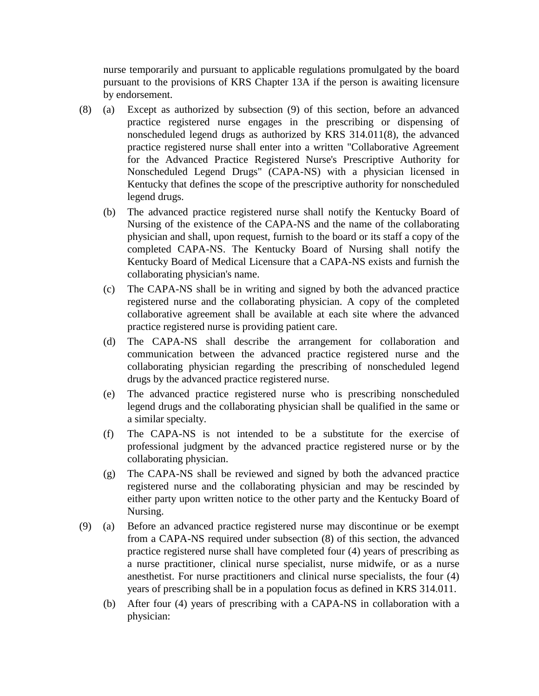nurse temporarily and pursuant to applicable regulations promulgated by the board pursuant to the provisions of KRS Chapter 13A if the person is awaiting licensure by endorsement.

- (8) (a) Except as authorized by subsection (9) of this section, before an advanced practice registered nurse engages in the prescribing or dispensing of nonscheduled legend drugs as authorized by KRS 314.011(8), the advanced practice registered nurse shall enter into a written "Collaborative Agreement for the Advanced Practice Registered Nurse's Prescriptive Authority for Nonscheduled Legend Drugs" (CAPA-NS) with a physician licensed in Kentucky that defines the scope of the prescriptive authority for nonscheduled legend drugs.
	- (b) The advanced practice registered nurse shall notify the Kentucky Board of Nursing of the existence of the CAPA-NS and the name of the collaborating physician and shall, upon request, furnish to the board or its staff a copy of the completed CAPA-NS. The Kentucky Board of Nursing shall notify the Kentucky Board of Medical Licensure that a CAPA-NS exists and furnish the collaborating physician's name.
	- (c) The CAPA-NS shall be in writing and signed by both the advanced practice registered nurse and the collaborating physician. A copy of the completed collaborative agreement shall be available at each site where the advanced practice registered nurse is providing patient care.
	- (d) The CAPA-NS shall describe the arrangement for collaboration and communication between the advanced practice registered nurse and the collaborating physician regarding the prescribing of nonscheduled legend drugs by the advanced practice registered nurse.
	- (e) The advanced practice registered nurse who is prescribing nonscheduled legend drugs and the collaborating physician shall be qualified in the same or a similar specialty.
	- (f) The CAPA-NS is not intended to be a substitute for the exercise of professional judgment by the advanced practice registered nurse or by the collaborating physician.
	- (g) The CAPA-NS shall be reviewed and signed by both the advanced practice registered nurse and the collaborating physician and may be rescinded by either party upon written notice to the other party and the Kentucky Board of Nursing.
- (9) (a) Before an advanced practice registered nurse may discontinue or be exempt from a CAPA-NS required under subsection (8) of this section, the advanced practice registered nurse shall have completed four (4) years of prescribing as a nurse practitioner, clinical nurse specialist, nurse midwife, or as a nurse anesthetist. For nurse practitioners and clinical nurse specialists, the four (4) years of prescribing shall be in a population focus as defined in KRS 314.011.
	- (b) After four (4) years of prescribing with a CAPA-NS in collaboration with a physician: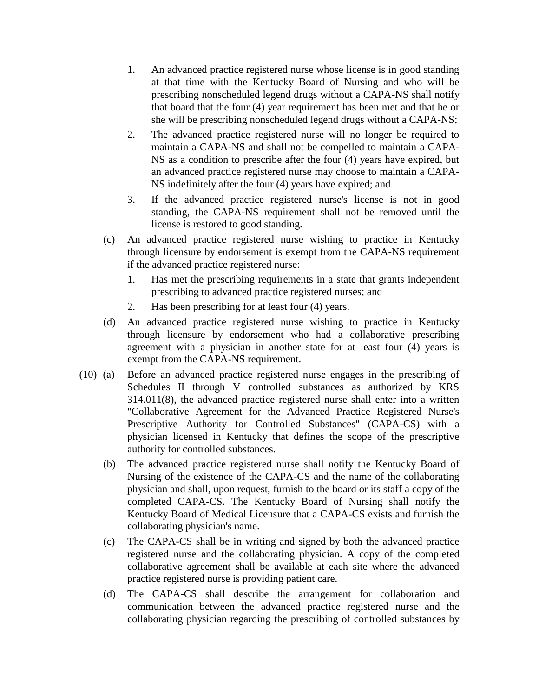- 1. An advanced practice registered nurse whose license is in good standing at that time with the Kentucky Board of Nursing and who will be prescribing nonscheduled legend drugs without a CAPA-NS shall notify that board that the four (4) year requirement has been met and that he or she will be prescribing nonscheduled legend drugs without a CAPA-NS;
- 2. The advanced practice registered nurse will no longer be required to maintain a CAPA-NS and shall not be compelled to maintain a CAPA-NS as a condition to prescribe after the four (4) years have expired, but an advanced practice registered nurse may choose to maintain a CAPA-NS indefinitely after the four (4) years have expired; and
- 3. If the advanced practice registered nurse's license is not in good standing, the CAPA-NS requirement shall not be removed until the license is restored to good standing.
- (c) An advanced practice registered nurse wishing to practice in Kentucky through licensure by endorsement is exempt from the CAPA-NS requirement if the advanced practice registered nurse:
	- 1. Has met the prescribing requirements in a state that grants independent prescribing to advanced practice registered nurses; and
	- 2. Has been prescribing for at least four (4) years.
- (d) An advanced practice registered nurse wishing to practice in Kentucky through licensure by endorsement who had a collaborative prescribing agreement with a physician in another state for at least four (4) years is exempt from the CAPA-NS requirement.
- (10) (a) Before an advanced practice registered nurse engages in the prescribing of Schedules II through V controlled substances as authorized by KRS 314.011(8), the advanced practice registered nurse shall enter into a written "Collaborative Agreement for the Advanced Practice Registered Nurse's Prescriptive Authority for Controlled Substances" (CAPA-CS) with a physician licensed in Kentucky that defines the scope of the prescriptive authority for controlled substances.
	- (b) The advanced practice registered nurse shall notify the Kentucky Board of Nursing of the existence of the CAPA-CS and the name of the collaborating physician and shall, upon request, furnish to the board or its staff a copy of the completed CAPA-CS. The Kentucky Board of Nursing shall notify the Kentucky Board of Medical Licensure that a CAPA-CS exists and furnish the collaborating physician's name.
	- (c) The CAPA-CS shall be in writing and signed by both the advanced practice registered nurse and the collaborating physician. A copy of the completed collaborative agreement shall be available at each site where the advanced practice registered nurse is providing patient care.
	- (d) The CAPA-CS shall describe the arrangement for collaboration and communication between the advanced practice registered nurse and the collaborating physician regarding the prescribing of controlled substances by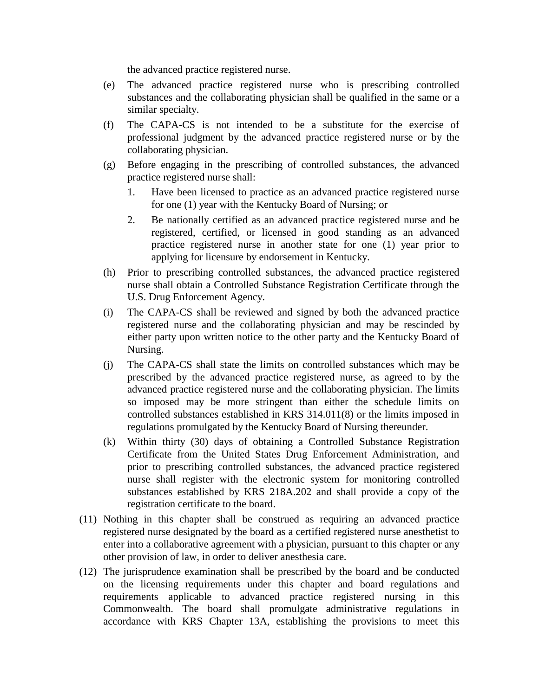the advanced practice registered nurse.

- (e) The advanced practice registered nurse who is prescribing controlled substances and the collaborating physician shall be qualified in the same or a similar specialty.
- (f) The CAPA-CS is not intended to be a substitute for the exercise of professional judgment by the advanced practice registered nurse or by the collaborating physician.
- (g) Before engaging in the prescribing of controlled substances, the advanced practice registered nurse shall:
	- 1. Have been licensed to practice as an advanced practice registered nurse for one (1) year with the Kentucky Board of Nursing; or
	- 2. Be nationally certified as an advanced practice registered nurse and be registered, certified, or licensed in good standing as an advanced practice registered nurse in another state for one (1) year prior to applying for licensure by endorsement in Kentucky.
- (h) Prior to prescribing controlled substances, the advanced practice registered nurse shall obtain a Controlled Substance Registration Certificate through the U.S. Drug Enforcement Agency.
- (i) The CAPA-CS shall be reviewed and signed by both the advanced practice registered nurse and the collaborating physician and may be rescinded by either party upon written notice to the other party and the Kentucky Board of Nursing.
- (j) The CAPA-CS shall state the limits on controlled substances which may be prescribed by the advanced practice registered nurse, as agreed to by the advanced practice registered nurse and the collaborating physician. The limits so imposed may be more stringent than either the schedule limits on controlled substances established in KRS 314.011(8) or the limits imposed in regulations promulgated by the Kentucky Board of Nursing thereunder.
- (k) Within thirty (30) days of obtaining a Controlled Substance Registration Certificate from the United States Drug Enforcement Administration, and prior to prescribing controlled substances, the advanced practice registered nurse shall register with the electronic system for monitoring controlled substances established by KRS 218A.202 and shall provide a copy of the registration certificate to the board.
- (11) Nothing in this chapter shall be construed as requiring an advanced practice registered nurse designated by the board as a certified registered nurse anesthetist to enter into a collaborative agreement with a physician, pursuant to this chapter or any other provision of law, in order to deliver anesthesia care.
- (12) The jurisprudence examination shall be prescribed by the board and be conducted on the licensing requirements under this chapter and board regulations and requirements applicable to advanced practice registered nursing in this Commonwealth. The board shall promulgate administrative regulations in accordance with KRS Chapter 13A, establishing the provisions to meet this